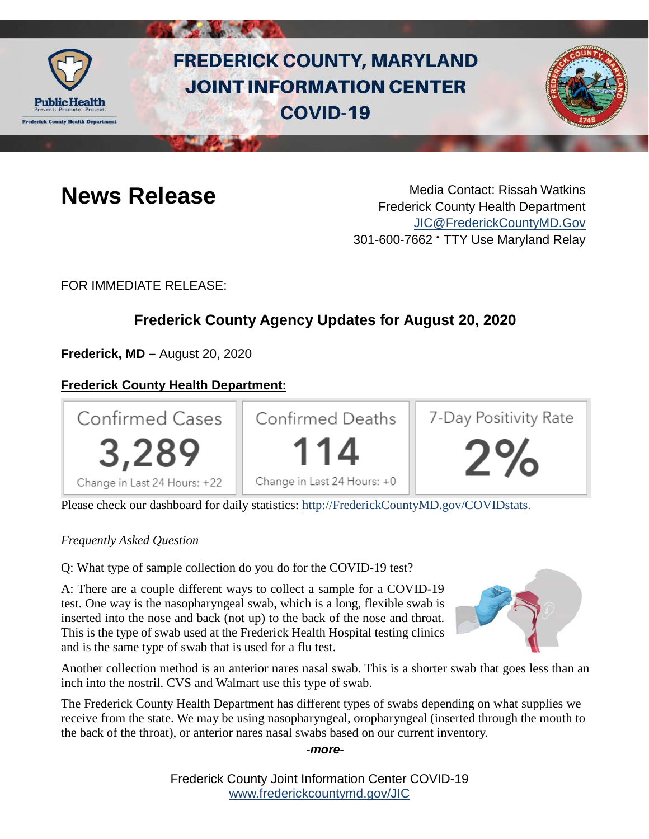

# **FREDERICK COUNTY, MARYLAND JOINT INFORMATION CENTER COVID-19**



**News Release** Media Contact: Rissah Watkins Frederick County Health Department [JIC@FrederickCountyMD.Gov](mailto:JIC@FrederickCountyMD.Gov) 301-600-7662 • TTY Use Maryland Relay

FOR IMMEDIATE RELEASE:

# **Frederick County Agency Updates for August 20, 2020**

**Frederick, MD –** August 20, 2020

# **Frederick County Health Department:**



Please check our dashboard for daily statistics: [http://FrederickCountyMD.gov/COVIDstats.](http://frederickcountymd.gov/COVIDstats)

#### *Frequently Asked Question*

Q: What type of sample collection do you do for the COVID-19 test?

A: There are a couple different ways to collect a sample for a COVID-19 test. One way is the nasopharyngeal swab, which is a long, flexible swab is inserted into the nose and back (not up) to the back of the nose and throat. This is the type of swab used at the Frederick Health Hospital testing clinics and is the same type of swab that is used for a flu test.



Another collection method is an anterior nares nasal swab. This is a shorter swab that goes less than an inch into the nostril. CVS and Walmart use this type of swab.

The Frederick County Health Department has different types of swabs depending on what supplies we receive from the state. We may be using nasopharyngeal, oropharyngeal (inserted through the mouth to the back of the throat), or anterior nares nasal swabs based on our current inventory.

*-more-*

Frederick County Joint Information Center COVID-19 [www.frederickcountymd.gov/JIC](https://frederickcountymd.gov/JIC)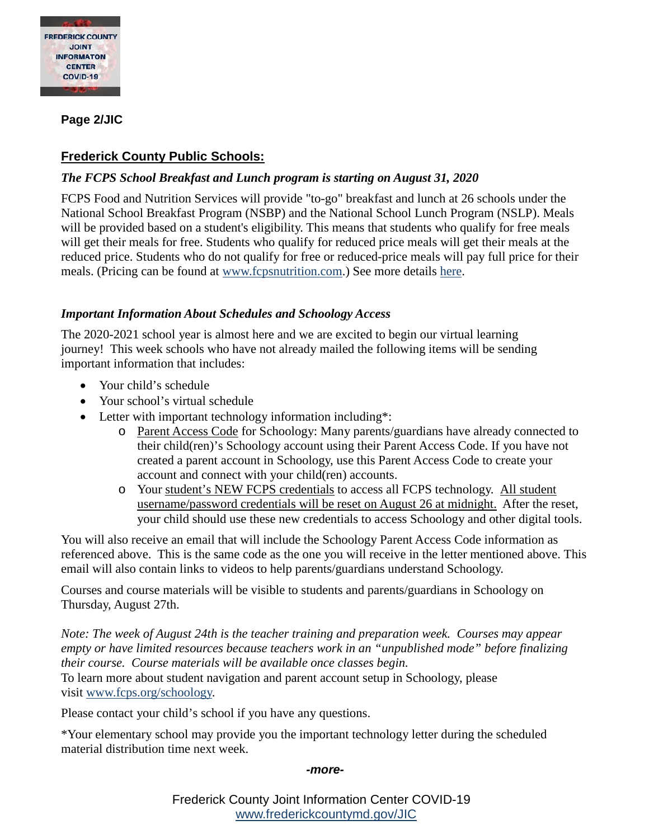

#### **Page 2/JIC**

## **Frederick County Public Schools:**

#### *The FCPS School Breakfast and Lunch program is starting on August 31, 2020*

FCPS Food and Nutrition Services will provide "to-go" breakfast and lunch at 26 schools under the National School Breakfast Program (NSBP) and the National School Lunch Program (NSLP). Meals will be provided based on a student's eligibility. This means that students who qualify for free meals will get their meals for free. Students who qualify for reduced price meals will get their meals at the reduced price. Students who do not qualify for free or reduced-price meals will pay full price for their meals. (Pricing can be found at [www.fcpsnutrition.com.](http://www.fcpsnutrition.com/)) See more details [here.](https://fcps.ezcommunicator.net/edu/frederick/preview_message.aspx?app=0&id=92418&type=notice&source=ViewNews#googtrans(en))

#### *Important Information About Schedules and Schoology Access*

The 2020-2021 school year is almost here and we are excited to begin our virtual learning journey! This week schools who have not already mailed the following items will be sending important information that includes:

- Your child's schedule
- Your school's virtual schedule
- Letter with important technology information including\*:
	- o Parent Access Code for Schoology: Many parents/guardians have already connected to their child(ren)'s Schoology account using their Parent Access Code. If you have not created a parent account in Schoology, use this Parent Access Code to create your account and connect with your child(ren) accounts.
	- o Your student's NEW FCPS credentials to access all FCPS technology. All student username/password credentials will be reset on August 26 at midnight. After the reset, your child should use these new credentials to access Schoology and other digital tools.

You will also receive an email that will include the Schoology Parent Access Code information as referenced above. This is the same code as the one you will receive in the letter mentioned above. This email will also contain links to videos to help parents/guardians understand Schoology.

Courses and course materials will be visible to students and parents/guardians in Schoology on Thursday, August 27th.

*Note: The week of August 24th is the teacher training and preparation week. Courses may appear empty or have limited resources because teachers work in an "unpublished mode" before finalizing their course. Course materials will be available once classes begin.*

To learn more about student navigation and parent account setup in Schoology, please visit [www.fcps.org/schoology.](http://www.fcps.org/schoology)

Please contact your child's school if you have any questions.

\*Your elementary school may provide you the important technology letter during the scheduled material distribution time next week.

#### *-more-*